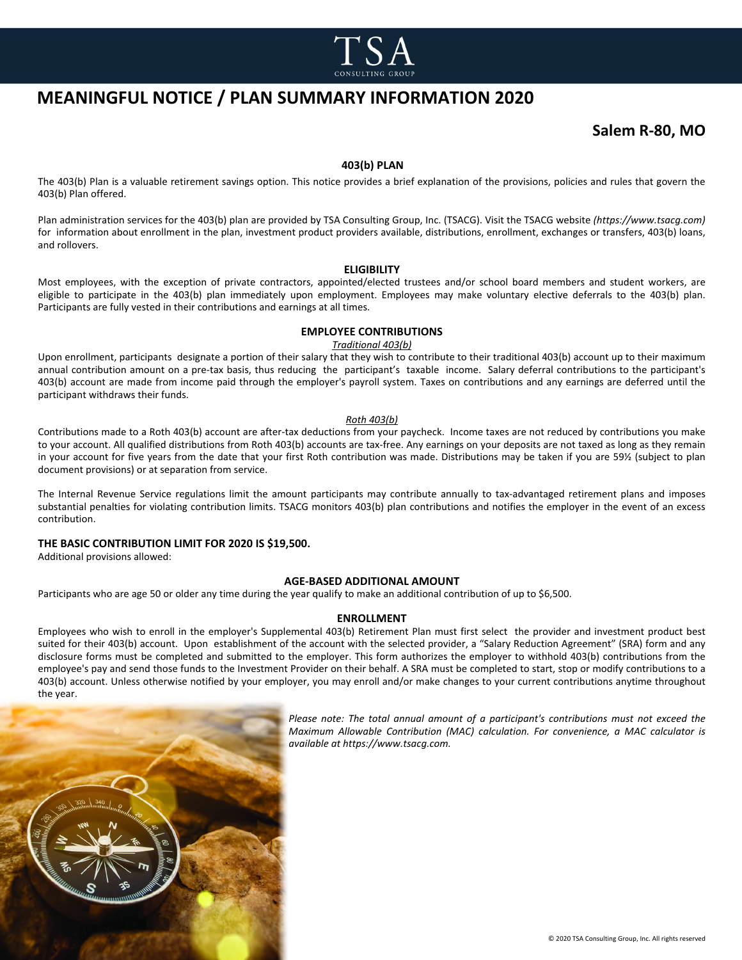

# **MEANINGFUL NOTICE / PLAN SUMMARY INFORMATION 2020**

# **Salem R-80, MO**

# **403(b) PLAN**

The 403(b) Plan is a valuable retirement savings option. This notice provides a brief explanation of the provisions, policies and rules that govern the 403(b) Plan offered.

Plan administration services for the 403(b) plan are provided by TSA Consulting Group, Inc. (TSACG). Visit the TSACG website *(https://www.tsacg.com)* for information about enrollment in the plan, investment product providers available, distributions, enrollment, exchanges or transfers, 403(b) loans, and rollovers.

# **ELIGIBILITY**

Most employees, with the exception of private contractors, appointed/elected trustees and/or school board members and student workers, are eligible to participate in the 403(b) plan immediately upon employment. Employees may make voluntary elective deferrals to the 403(b) plan. Participants are fully vested in their contributions and earnings at all times.

# **EMPLOYEE CONTRIBUTIONS**

# *Traditional 403(b)*

Upon enrollment, participants designate a portion of their salary that they wish to contribute to their traditional 403(b) account up to their maximum annual contribution amount on a pre-tax basis, thus reducing the participant's taxable income. Salary deferral contributions to the participant's 403(b) account are made from income paid through the employer's payroll system. Taxes on contributions and any earnings are deferred until the participant withdraws their funds.

# *Roth 403(b)*

Contributions made to a Roth 403(b) account are after-tax deductions from your paycheck. Income taxes are not reduced by contributions you make to your account. All qualified distributions from Roth 403(b) accounts are tax-free. Any earnings on your deposits are not taxed as long as they remain in your account for five years from the date that your first Roth contribution was made. Distributions may be taken if you are 59½ (subject to plan document provisions) or at separation from service.

The Internal Revenue Service regulations limit the amount participants may contribute annually to tax-advantaged retirement plans and imposes substantial penalties for violating contribution limits. TSACG monitors 403(b) plan contributions and notifies the employer in the event of an excess contribution.

# **THE BASIC CONTRIBUTION LIMIT FOR 2020 IS \$19,500.**

Additional provisions allowed:

# **AGE-BASED ADDITIONAL AMOUNT**

Participants who are age 50 or older any time during the year qualify to make an additional contribution of up to \$6,500.

# **ENROLLMENT**

Employees who wish to enroll in the employer's Supplemental 403(b) Retirement Plan must first select the provider and investment product best suited for their 403(b) account. Upon establishment of the account with the selected provider, a "Salary Reduction Agreement" (SRA) form and any disclosure forms must be completed and submitted to the employer. This form authorizes the employer to withhold 403(b) contributions from the employee's pay and send those funds to the Investment Provider on their behalf. A SRA must be completed to start, stop or modify contributions to a 403(b) account. Unless otherwise notified by your employer, you may enroll and/or make changes to your current contributions anytime throughout

> *Please note: The total annual amount of a participant's contributions must not exceed the Maximum Allowable Contribution (MAC) calculation. For convenience, a MAC calculator is available at https://www.tsacg.com.*